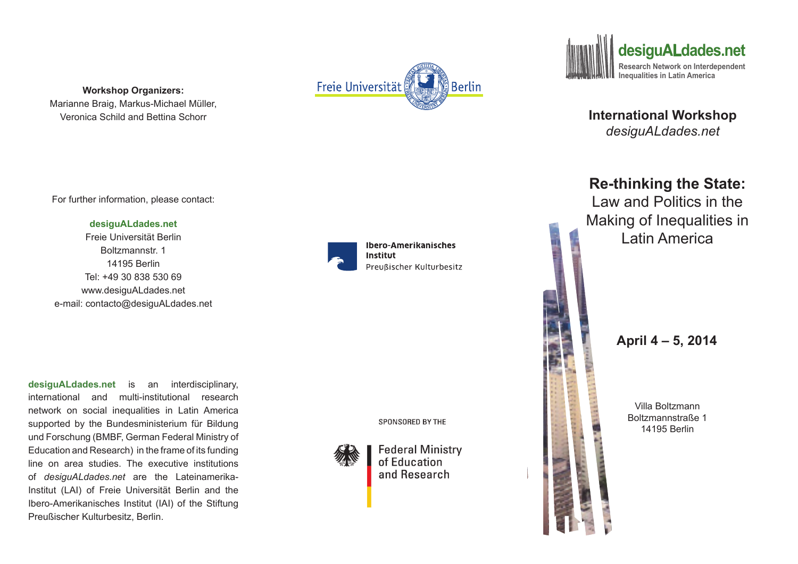**Workshop Organizers:**  Marianne Braig, Markus-Michael Müller, Veronica Schild and Bettina Schorr



**desiguALdades.net** Freie Universität Berlin Boltzmannstr. 1 14195 Berlin Tel: +49 30 838 530 69 www.desiguALdades.net e-mail: contacto@desiguALdades.net

**desiguALdades.net** is an interdisciplinary, international and multi-institutional research network on social inequalities in Latin America supported by the Bundesministerium für Bildung und Forschung (BMBF, German Federal Ministry of Education and Research) in the frame of its funding line on area studies. The executive institutions of *desiguALdades.net* are the Lateinamerika-Institut (LAI) of Freie Universität Berlin and the Ibero-Amerikanisches Institut (IAI) of the Stiftung Preußischer Kulturbesitz, Berlin.



Freie Universität

**Ibero-Amerikanisches** Institut Preußischer Kulturbesitz

Berlin

SPONSORED BY THE



**Federal Ministry** of Education and Research



**International Workshop**  *desiguALdades.net*